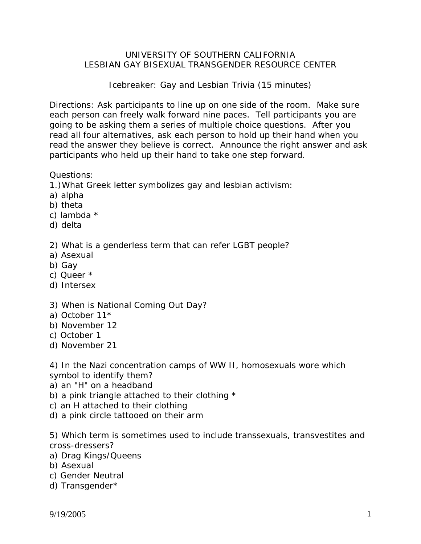# UNIVERSITY OF SOUTHERN CALIFORNIA LESBIAN GAY BISEXUAL TRANSGENDER RESOURCE CENTER

Icebreaker: Gay and Lesbian Trivia (15 minutes)

Directions: Ask participants to line up on one side of the room. Make sure each person can freely walk forward nine paces. Tell participants you are going to be asking them a series of multiple choice questions. After you read all four alternatives, ask each person to hold up their hand when you read the answer they believe is correct. Announce the right answer and ask participants who held up their hand to take one step forward.

## Questions:

1.)What Greek letter symbolizes gay and lesbian activism:

- a) alpha
- b) theta
- c) lambda \*
- d) delta

## 2) What is a genderless term that can refer LGBT people?

- a) Asexual
- b) Gay
- c) Queer \*
- d) Intersex

### 3) When is National Coming Out Day?

- a) October 11\*
- b) November 12
- c) October 1
- d) November 21

4) In the Nazi concentration camps of WW II, homosexuals wore which symbol to identify them?

- a) an "H" on a headband
- b) a pink triangle attached to their clothing \*
- c) an H attached to their clothing
- d) a pink circle tattooed on their arm

5) Which term is sometimes used to include transsexuals, transvestites and cross-dressers?

- a) Drag Kings/Queens
- b) Asexual
- c) Gender Neutral
- d) Transgender\*